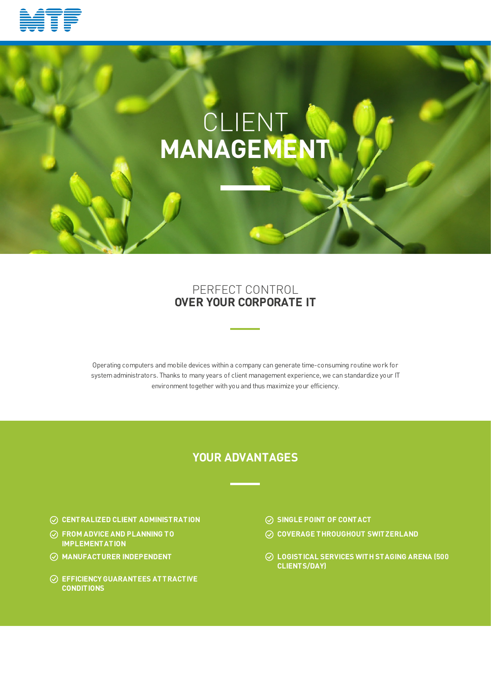

# CLIENT **MANAGEMENT**

## PERFECT CONTROL **OVER YOUR CORPORATE IT**

Operating computers and mobile devices within a company can generate time-consuming routine work for systemadministrators. Thanks to many years of client management experience, we can standardize your IT environment together with you and thus maximize your efficiency.

# **YOUR ADVANTAGES**

- **CENTRALIZED CLIENT ADMINISTRATION SINGLE POINT OF CONTACT**
- **FROM ADVICE AND PLANNING TO IMPLEMENTATION**
- 
- **EFFICIENCY GUARANTEES ATTRACTIVE CONDITIONS**
- 
- **COVERAGE THROUGHOUT SWITZERLAND**
- **MANUFACTURER INDEPENDENT LOGISTICAL SERVICES WITH STAGING ARENA (500 CLIENTS/DAY)**